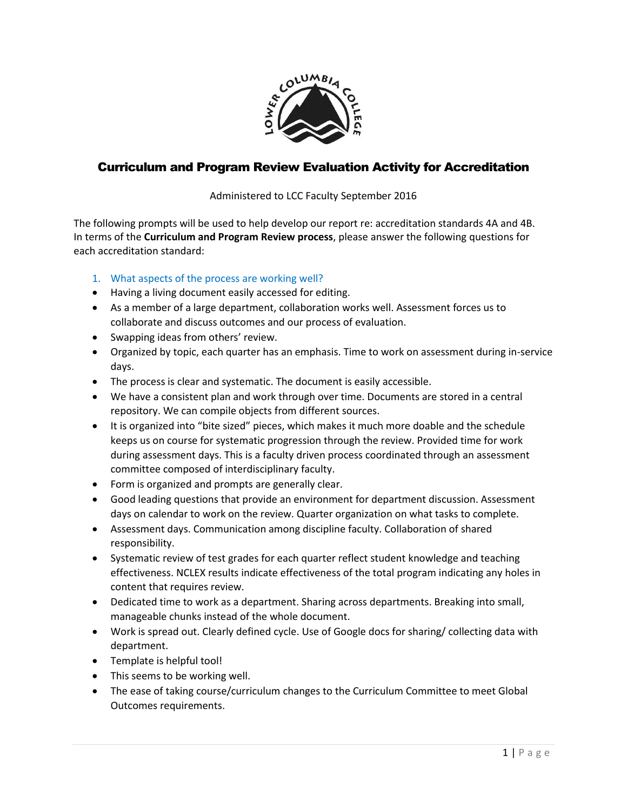

## Curriculum and Program Review Evaluation Activity for Accreditation

Administered to LCC Faculty September 2016

The following prompts will be used to help develop our report re: accreditation standards 4A and 4B. In terms of the **Curriculum and Program Review process**, please answer the following questions for each accreditation standard:

- 1. What aspects of the process are working well?
- Having a living document easily accessed for editing.
- As a member of a large department, collaboration works well. Assessment forces us to collaborate and discuss outcomes and our process of evaluation.
- Swapping ideas from others' review.
- Organized by topic, each quarter has an emphasis. Time to work on assessment during in-service days.
- The process is clear and systematic. The document is easily accessible.
- We have a consistent plan and work through over time. Documents are stored in a central repository. We can compile objects from different sources.
- It is organized into "bite sized" pieces, which makes it much more doable and the schedule keeps us on course for systematic progression through the review. Provided time for work during assessment days. This is a faculty driven process coordinated through an assessment committee composed of interdisciplinary faculty.
- Form is organized and prompts are generally clear.
- Good leading questions that provide an environment for department discussion. Assessment days on calendar to work on the review. Quarter organization on what tasks to complete.
- Assessment days. Communication among discipline faculty. Collaboration of shared responsibility.
- Systematic review of test grades for each quarter reflect student knowledge and teaching effectiveness. NCLEX results indicate effectiveness of the total program indicating any holes in content that requires review.
- Dedicated time to work as a department. Sharing across departments. Breaking into small, manageable chunks instead of the whole document.
- Work is spread out. Clearly defined cycle. Use of Google docs for sharing/ collecting data with department.
- Template is helpful tool!
- This seems to be working well.
- The ease of taking course/curriculum changes to the Curriculum Committee to meet Global Outcomes requirements.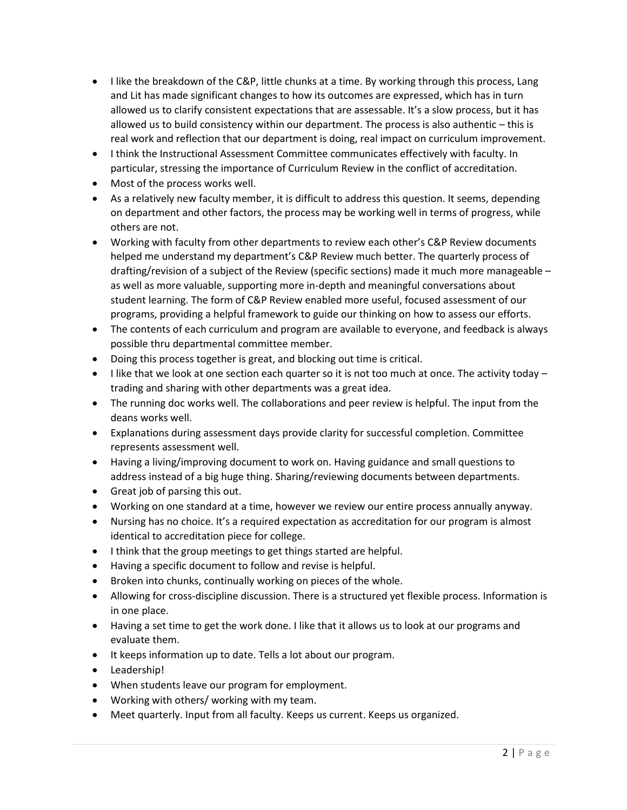- I like the breakdown of the C&P, little chunks at a time. By working through this process, Lang and Lit has made significant changes to how its outcomes are expressed, which has in turn allowed us to clarify consistent expectations that are assessable. It's a slow process, but it has allowed us to build consistency within our department. The process is also authentic – this is real work and reflection that our department is doing, real impact on curriculum improvement.
- I think the Instructional Assessment Committee communicates effectively with faculty. In particular, stressing the importance of Curriculum Review in the conflict of accreditation.
- Most of the process works well.
- As a relatively new faculty member, it is difficult to address this question. It seems, depending on department and other factors, the process may be working well in terms of progress, while others are not.
- Working with faculty from other departments to review each other's C&P Review documents helped me understand my department's C&P Review much better. The quarterly process of drafting/revision of a subject of the Review (specific sections) made it much more manageable – as well as more valuable, supporting more in-depth and meaningful conversations about student learning. The form of C&P Review enabled more useful, focused assessment of our programs, providing a helpful framework to guide our thinking on how to assess our efforts.
- The contents of each curriculum and program are available to everyone, and feedback is always possible thru departmental committee member.
- Doing this process together is great, and blocking out time is critical.
- I like that we look at one section each quarter so it is not too much at once. The activity today  $$ trading and sharing with other departments was a great idea.
- The running doc works well. The collaborations and peer review is helpful. The input from the deans works well.
- Explanations during assessment days provide clarity for successful completion. Committee represents assessment well.
- Having a living/improving document to work on. Having guidance and small questions to address instead of a big huge thing. Sharing/reviewing documents between departments.
- Great job of parsing this out.
- Working on one standard at a time, however we review our entire process annually anyway.
- Nursing has no choice. It's a required expectation as accreditation for our program is almost identical to accreditation piece for college.
- I think that the group meetings to get things started are helpful.
- Having a specific document to follow and revise is helpful.
- Broken into chunks, continually working on pieces of the whole.
- Allowing for cross-discipline discussion. There is a structured yet flexible process. Information is in one place.
- Having a set time to get the work done. I like that it allows us to look at our programs and evaluate them.
- It keeps information up to date. Tells a lot about our program.
- Leadership!
- When students leave our program for employment.
- Working with others/ working with my team.
- Meet quarterly. Input from all faculty. Keeps us current. Keeps us organized.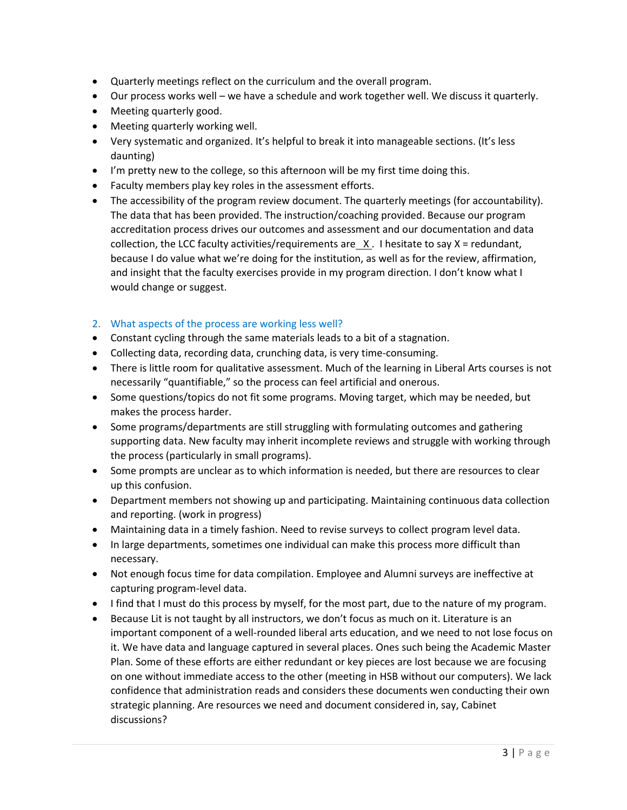- Quarterly meetings reflect on the curriculum and the overall program.
- Our process works well we have a schedule and work together well. We discuss it quarterly.
- Meeting quarterly good.
- Meeting quarterly working well.
- Very systematic and organized. It's helpful to break it into manageable sections. (It's less daunting)
- I'm pretty new to the college, so this afternoon will be my first time doing this.
- Faculty members play key roles in the assessment efforts.
- The accessibility of the program review document. The quarterly meetings (for accountability). The data that has been provided. The instruction/coaching provided. Because our program accreditation process drives our outcomes and assessment and our documentation and data collection, the LCC faculty activities/requirements are  $X$ . I hesitate to say  $X =$  redundant, because I do value what we're doing for the institution, as well as for the review, affirmation, and insight that the faculty exercises provide in my program direction. I don't know what I would change or suggest.

## 2. What aspects of the process are working less well?

- Constant cycling through the same materials leads to a bit of a stagnation.
- Collecting data, recording data, crunching data, is very time-consuming.
- There is little room for qualitative assessment. Much of the learning in Liberal Arts courses is not necessarily "quantifiable," so the process can feel artificial and onerous.
- Some questions/topics do not fit some programs. Moving target, which may be needed, but makes the process harder.
- Some programs/departments are still struggling with formulating outcomes and gathering supporting data. New faculty may inherit incomplete reviews and struggle with working through the process (particularly in small programs).
- Some prompts are unclear as to which information is needed, but there are resources to clear up this confusion.
- Department members not showing up and participating. Maintaining continuous data collection and reporting. (work in progress)
- Maintaining data in a timely fashion. Need to revise surveys to collect program level data.
- In large departments, sometimes one individual can make this process more difficult than necessary.
- Not enough focus time for data compilation. Employee and Alumni surveys are ineffective at capturing program-level data.
- I find that I must do this process by myself, for the most part, due to the nature of my program.
- Because Lit is not taught by all instructors, we don't focus as much on it. Literature is an important component of a well-rounded liberal arts education, and we need to not lose focus on it. We have data and language captured in several places. Ones such being the Academic Master Plan. Some of these efforts are either redundant or key pieces are lost because we are focusing on one without immediate access to the other (meeting in HSB without our computers). We lack confidence that administration reads and considers these documents wen conducting their own strategic planning. Are resources we need and document considered in, say, Cabinet discussions?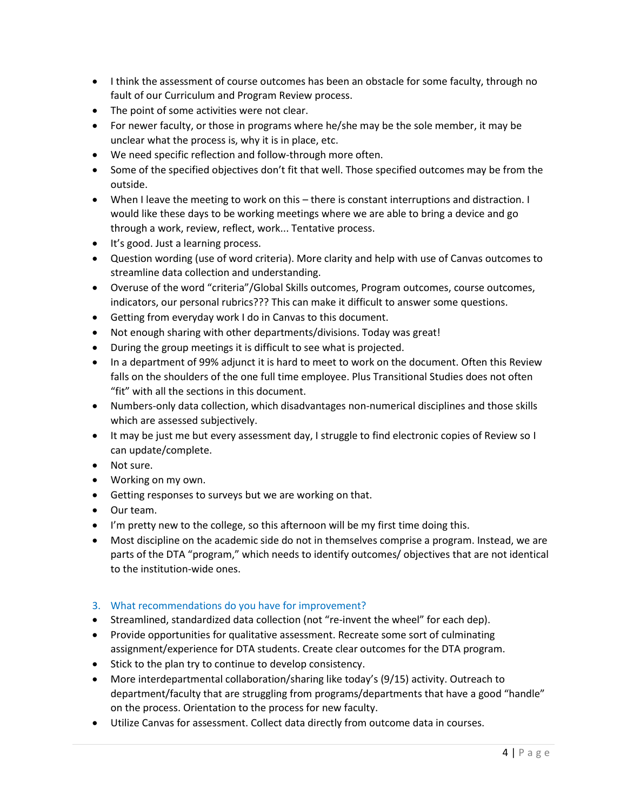- I think the assessment of course outcomes has been an obstacle for some faculty, through no fault of our Curriculum and Program Review process.
- The point of some activities were not clear.
- For newer faculty, or those in programs where he/she may be the sole member, it may be unclear what the process is, why it is in place, etc.
- We need specific reflection and follow-through more often.
- Some of the specified objectives don't fit that well. Those specified outcomes may be from the outside.
- When I leave the meeting to work on this there is constant interruptions and distraction. I would like these days to be working meetings where we are able to bring a device and go through a work, review, reflect, work... Tentative process.
- It's good. Just a learning process.
- Question wording (use of word criteria). More clarity and help with use of Canvas outcomes to streamline data collection and understanding.
- Overuse of the word "criteria"/Global Skills outcomes, Program outcomes, course outcomes, indicators, our personal rubrics??? This can make it difficult to answer some questions.
- Getting from everyday work I do in Canvas to this document.
- Not enough sharing with other departments/divisions. Today was great!
- During the group meetings it is difficult to see what is projected.
- In a department of 99% adjunct it is hard to meet to work on the document. Often this Review falls on the shoulders of the one full time employee. Plus Transitional Studies does not often "fit" with all the sections in this document.
- Numbers-only data collection, which disadvantages non-numerical disciplines and those skills which are assessed subjectively.
- It may be just me but every assessment day, I struggle to find electronic copies of Review so I can update/complete.
- Not sure.
- Working on my own.
- Getting responses to surveys but we are working on that.
- Our team.
- I'm pretty new to the college, so this afternoon will be my first time doing this.
- Most discipline on the academic side do not in themselves comprise a program. Instead, we are parts of the DTA "program," which needs to identify outcomes/ objectives that are not identical to the institution-wide ones.
- 3. What recommendations do you have for improvement?
- Streamlined, standardized data collection (not "re-invent the wheel" for each dep).
- Provide opportunities for qualitative assessment. Recreate some sort of culminating assignment/experience for DTA students. Create clear outcomes for the DTA program.
- Stick to the plan try to continue to develop consistency.
- More interdepartmental collaboration/sharing like today's (9/15) activity. Outreach to department/faculty that are struggling from programs/departments that have a good "handle" on the process. Orientation to the process for new faculty.
- Utilize Canvas for assessment. Collect data directly from outcome data in courses.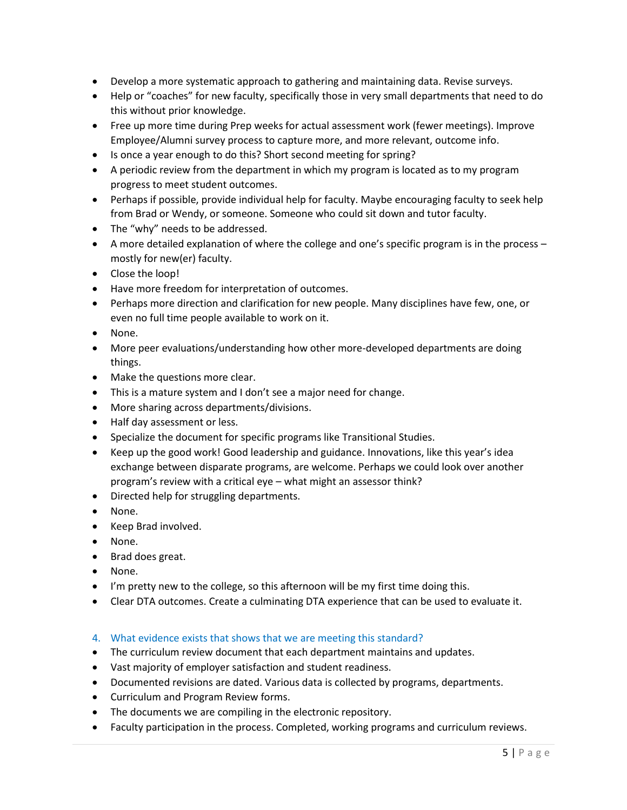- Develop a more systematic approach to gathering and maintaining data. Revise surveys.
- Help or "coaches" for new faculty, specifically those in very small departments that need to do this without prior knowledge.
- Free up more time during Prep weeks for actual assessment work (fewer meetings). Improve Employee/Alumni survey process to capture more, and more relevant, outcome info.
- Is once a year enough to do this? Short second meeting for spring?
- A periodic review from the department in which my program is located as to my program progress to meet student outcomes.
- Perhaps if possible, provide individual help for faculty. Maybe encouraging faculty to seek help from Brad or Wendy, or someone. Someone who could sit down and tutor faculty.
- The "why" needs to be addressed.
- A more detailed explanation of where the college and one's specific program is in the process mostly for new(er) faculty.
- Close the loop!
- Have more freedom for interpretation of outcomes.
- Perhaps more direction and clarification for new people. Many disciplines have few, one, or even no full time people available to work on it.
- None.
- More peer evaluations/understanding how other more-developed departments are doing things.
- Make the questions more clear.
- This is a mature system and I don't see a major need for change.
- More sharing across departments/divisions.
- Half day assessment or less.
- Specialize the document for specific programs like Transitional Studies.
- Keep up the good work! Good leadership and guidance. Innovations, like this year's idea exchange between disparate programs, are welcome. Perhaps we could look over another program's review with a critical eye – what might an assessor think?
- Directed help for struggling departments.
- None.
- Keep Brad involved.
- None.
- Brad does great.
- None.
- I'm pretty new to the college, so this afternoon will be my first time doing this.
- Clear DTA outcomes. Create a culminating DTA experience that can be used to evaluate it.
- 4. What evidence exists that shows that we are meeting this standard?
- The curriculum review document that each department maintains and updates.
- Vast majority of employer satisfaction and student readiness.
- Documented revisions are dated. Various data is collected by programs, departments.
- Curriculum and Program Review forms.
- The documents we are compiling in the electronic repository.
- Faculty participation in the process. Completed, working programs and curriculum reviews.